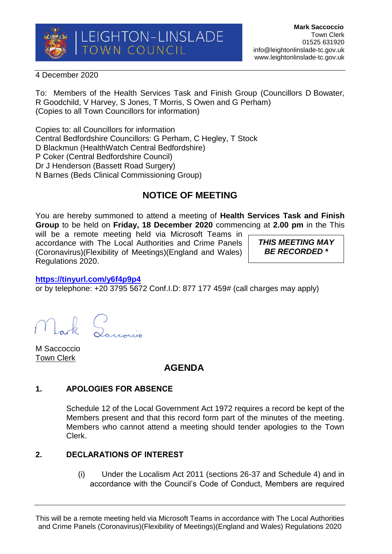

4 December 2020

To: Members of the Health Services Task and Finish Group (Councillors D Bowater, R Goodchild, V Harvey, S Jones, T Morris, S Owen and G Perham) (Copies to all Town Councillors for information)

Copies to: all Councillors for information Central Bedfordshire Councillors: G Perham, C Hegley, T Stock D Blackmun (HealthWatch Central Bedfordshire) P Coker (Central Bedfordshire Council) Dr J Henderson (Bassett Road Surgery) N Barnes (Beds Clinical Commissioning Group)

# **NOTICE OF MEETING**

You are hereby summoned to attend a meeting of **Health Services Task and Finish Group** to be held on **Friday, 18 December 2020** commencing at **2.00 pm** in the This

will be a remote meeting held via Microsoft Teams in accordance with The Local Authorities and Crime Panels (Coronavirus)(Flexibility of Meetings)(England and Wales) Regulations 2020.

*THIS MEETING MAY BE RECORDED \**

### **<https://tinyurl.com/y6f4p9p4>**

or by telephone: +20 3795 5672 Conf.I.D: 877 177 459# (call charges may apply)

M Saccoccio Town Clerk

## **AGENDA**

## **1. APOLOGIES FOR ABSENCE**

Schedule 12 of the Local Government Act 1972 requires a record be kept of the Members present and that this record form part of the minutes of the meeting. Members who cannot attend a meeting should tender apologies to the Town Clerk.

## **2. DECLARATIONS OF INTEREST**

(i) Under the Localism Act 2011 (sections 26-37 and Schedule 4) and in accordance with the Council's Code of Conduct, Members are required

This will be a remote meeting held via Microsoft Teams in accordance with The Local Authorities and Crime Panels (Coronavirus)(Flexibility of Meetings)(England and Wales) Regulations 2020